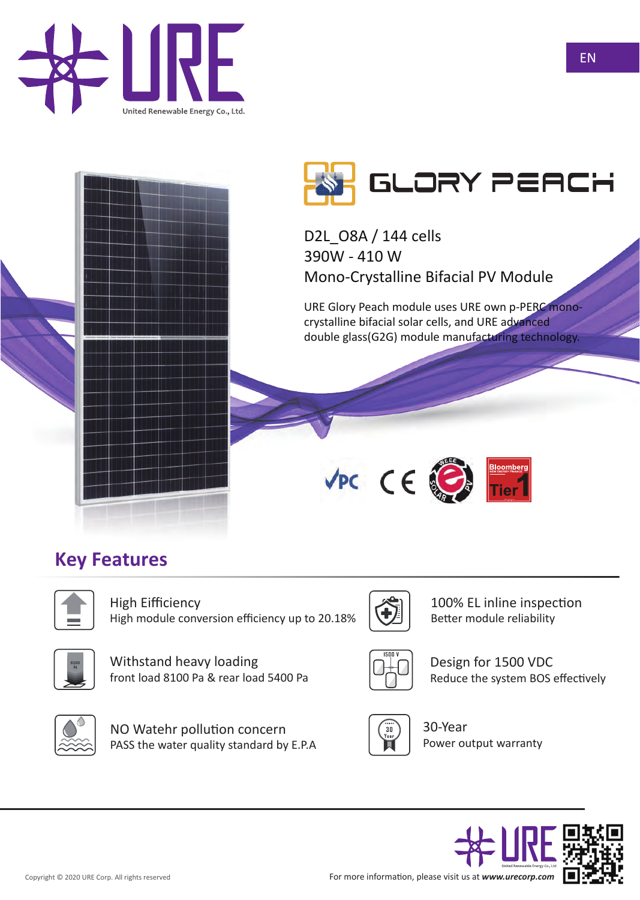



D2L\_O8A / 144 cells 390W - 410 W Mono-Crystalline Bifacial PV Module

URE Glory Peach module uses URE own p-PERC monocrystalline bifacial solar cells, and URE advanced double glass(G2G) module manufacturing technology.



# **Key Features**



**8100**

High Eifficiency High module conversion efficiency up to 20.18%



100% EL inline inspection Better module reliability



Design for 1500 VDC Reduce the system BOS effectively



NO Watehr pollution concern PASS the water quality standard by E.P.A

front load 8100 Pa & rear load 5400 Pa

Withstand heavy loading



30-Year Power output warranty





EN